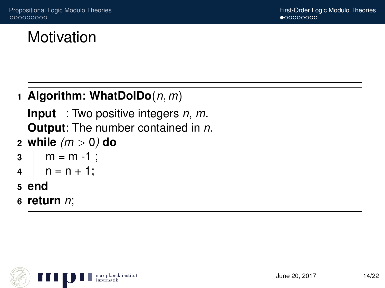# Motivation

### **1 Algorithm: WhatDoIDo**(*n*, *m*)

**Input** : Two positive integers *n*, *m*. **Output**: The number contained in *n*.

**2 while** *(m* > 0*)* **do**

```
3 \mid m = m - 1;
```

```
4 \mid n = n + 1;
```
- **5 end**
- **6 return** *n*;

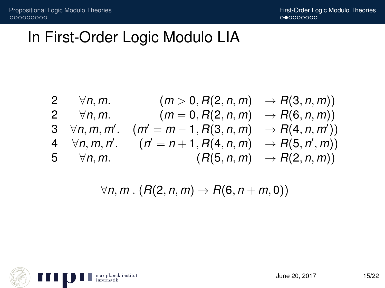# In First-Order Logic Modulo LIA

| 2 | $\forall n, m.$     | $(m > 0, R(2, n, m) \rightarrow R(3, n, m))$       |
|---|---------------------|----------------------------------------------------|
| 2 | $\forall n, m.$     | $(m = 0, R(2, n, m) \rightarrow R(6, n, m))$       |
| 3 | $\forall n, m, m',$ | $(m' = m - 1, R(3, n, m) \rightarrow R(4, n, m'))$ |
| 4 | $\forall n, m, n',$ | $(n' = n + 1, R(4, n, m) \rightarrow R(5, n', m))$ |
| 5 | $\forall n, m.$     | $(R(5, n, m) \rightarrow R(2, n, m))$              |

$$
\forall n,m \,.\, (R(2,n,m) \rightarrow R(6,n+m,0))
$$

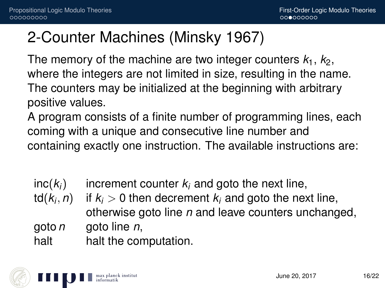## 2-Counter Machines (Minsky 1967)

The memory of the machine are two integer counters  $k_1$ ,  $k_2$ , where the integers are not limited in size, resulting in the name. The counters may be initialized at the beginning with arbitrary positive values.

A program consists of a finite number of programming lines, each coming with a unique and consecutive line number and containing exactly one instruction. The available instructions are:

- $inc(k_i)$  increment counter  $k_i$  and goto the next line,
- $td(k<sub>i</sub>, n)$ if  $k_i > 0$  then decrement  $k_i$  and goto the next line, otherwise goto line *n* and leave counters unchanged, goto *n* goto line *n*,

halt halt the computation.

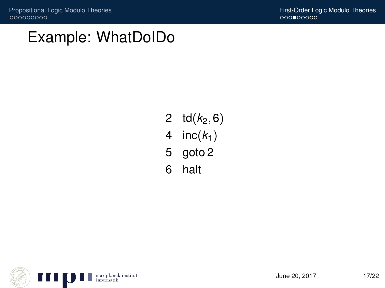## Example: WhatDoIDo

- 2  $td(k_2, 6)$
- 4 inc $(k_1)$
- 5 goto 2
- 6 halt

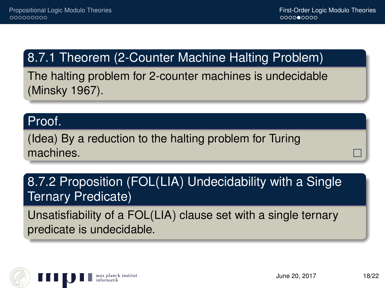## 8.7.1 Theorem (2-Counter Machine Halting Problem)

The halting problem for 2-counter machines is undecidable (Minsky 1967).

#### Proof.

(Idea) By a reduction to the halting problem for Turing machines.

### 8.7.2 Proposition (FOL(LIA) Undecidability with a Single Ternary Predicate)

Unsatisfiability of a FOL(LIA) clause set with a single ternary predicate is undecidable.

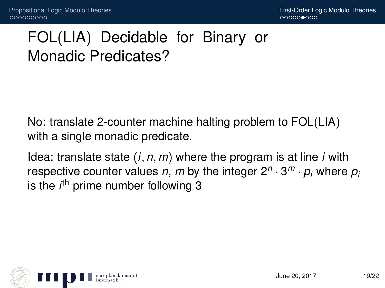# FOL(LIA) Decidable for Binary or Monadic Predicates?

No: translate 2-counter machine halting problem to FOL(LIA) with a single monadic predicate.

Idea: translate state (*i*, *n*, *m*) where the program is at line *i* with respective counter values *n*, *m* by the integer 2*<sup>n</sup>* · 3 *<sup>m</sup>* · *p<sup>i</sup>* where *p<sup>i</sup>* is the *i*<sup>th</sup> prime number following 3

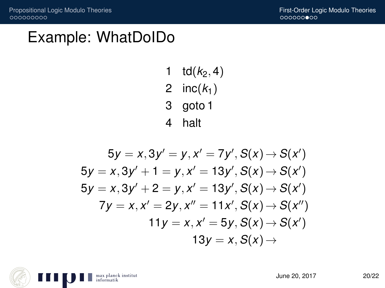## Example: WhatDoIDo

- $td(k_2, 4)$
- 2 inc $(k_1)$
- 3 goto 1
- 4 halt

$$
5y = x, 3y' = y, x' = 7y', S(x) \rightarrow S(x')
$$
  
\n
$$
5y = x, 3y' + 1 = y, x' = 13y', S(x) \rightarrow S(x')
$$
  
\n
$$
5y = x, 3y' + 2 = y, x' = 13y', S(x) \rightarrow S(x')
$$
  
\n
$$
7y = x, x' = 2y, x'' = 11x', S(x) \rightarrow S(x'')
$$
  
\n
$$
11y = x, x' = 5y, S(x) \rightarrow S(x')
$$
  
\n
$$
13y = x, S(x) \rightarrow
$$